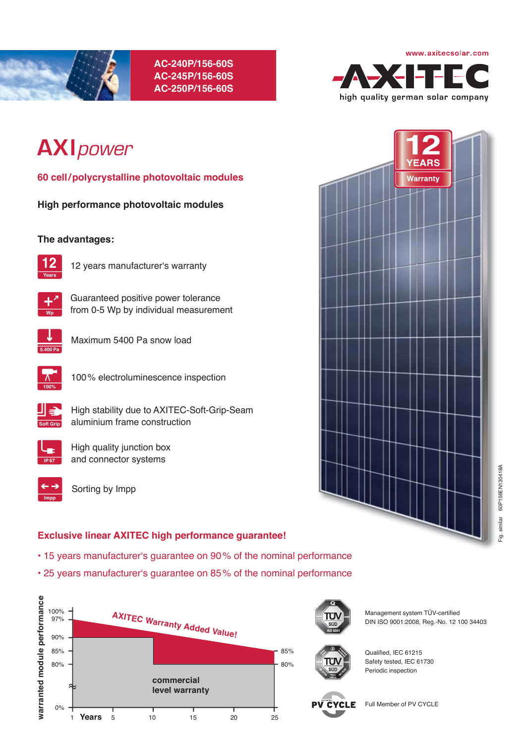

# **AC-240P/156-60S AC-245P/156-60S AC-250P/156-60S**



# **AXI***power*

**60 cell / polycrystalline photovoltaic modules**

**High performance photovoltaic modules** 

## **The advantages:**



12 years manufacturer's warranty



**Wp** from 0-5 Wp by individual measurement

Guaranteed positive power tolerance



Maximum 5400 Pa snow load



100 % electroluminescence inspection



High stability due to AXITEC-Soft-Grip-Seam aluminium frame construction



High quality junction box and connector systems



Sorting by Impp

## **Exclusive linear AXITEC high performance guarantee!**

- 15 years manufacturer's guarantee on 90 % of the nominal performance
- 25 years manufacturer's guarantee on 85 % of the nominal performance





Management system TÜV-certified DIN ISO 9001:2008, Reg.-No. 12 100 34403